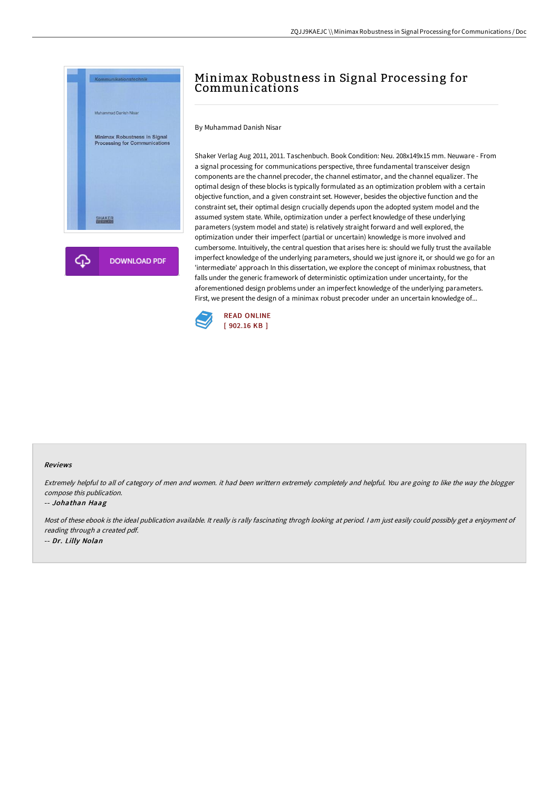

# Minimax Robustness in Signal Processing for Communications

By Muhammad Danish Nisar

Shaker Verlag Aug 2011, 2011. Taschenbuch. Book Condition: Neu. 208x149x15 mm. Neuware - From a signal processing for communications perspective, three fundamental transceiver design components are the channel precoder, the channel estimator, and the channel equalizer. The optimal design of these blocks is typically formulated as an optimization problem with a certain objective function, and a given constraint set. However, besides the objective function and the constraint set, their optimal design crucially depends upon the adopted system model and the assumed system state. While, optimization under a perfect knowledge of these underlying parameters (system model and state) is relatively straight forward and well explored, the optimization under their imperfect (partial or uncertain) knowledge is more involved and cumbersome. Intuitively, the central question that arises here is: should we fully trust the available imperfect knowledge of the underlying parameters, should we just ignore it, or should we go for an 'intermediate' approach In this dissertation, we explore the concept of minimax robustness, that falls under the generic framework of deterministic optimization under uncertainty, for the aforementioned design problems under an imperfect knowledge of the underlying parameters. First, we present the design of a minimax robust precoder under an uncertain knowledge of...



#### Reviews

Extremely helpful to all of category of men and women. it had been writtern extremely completely and helpful. You are going to like the way the blogger compose this publication.

#### -- Johathan Haag

Most of these ebook is the ideal publication available. It really is rally fascinating throgh looking at period. <sup>I</sup> am just easily could possibly get <sup>a</sup> enjoyment of reading through <sup>a</sup> created pdf. -- Dr. Lilly Nolan